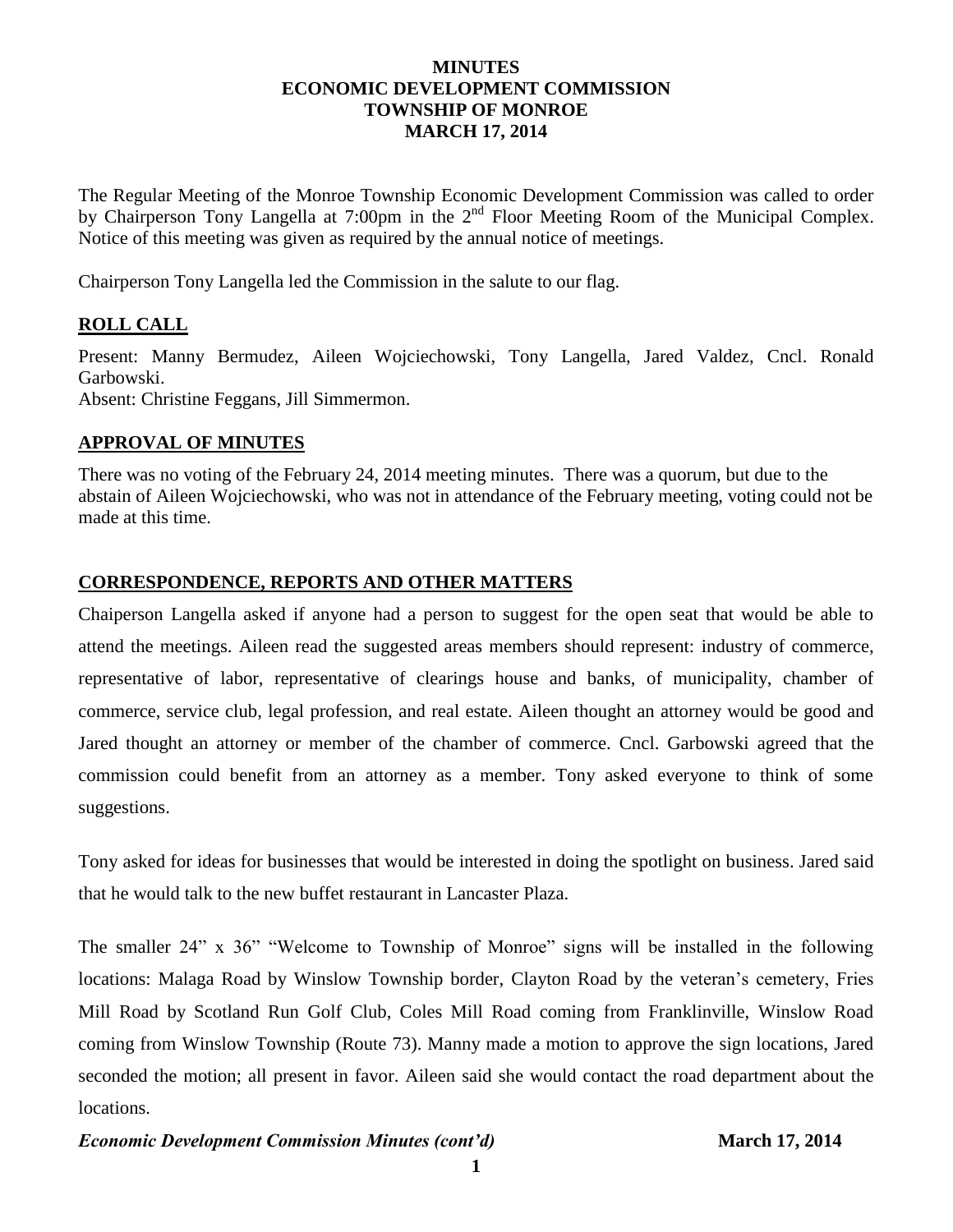## **MINUTES ECONOMIC DEVELOPMENT COMMISSION TOWNSHIP OF MONROE MARCH 17, 2014**

The Regular Meeting of the Monroe Township Economic Development Commission was called to order by Chairperson Tony Langella at 7:00pm in the 2<sup>nd</sup> Floor Meeting Room of the Municipal Complex. Notice of this meeting was given as required by the annual notice of meetings.

Chairperson Tony Langella led the Commission in the salute to our flag.

## **ROLL CALL**

Present: Manny Bermudez, Aileen Wojciechowski, Tony Langella, Jared Valdez, Cncl. Ronald Garbowski.

Absent: Christine Feggans, Jill Simmermon.

### **APPROVAL OF MINUTES**

There was no voting of the February 24, 2014 meeting minutes. There was a quorum, but due to the abstain of Aileen Wojciechowski, who was not in attendance of the February meeting, voting could not be made at this time.

### **CORRESPONDENCE, REPORTS AND OTHER MATTERS**

Chaiperson Langella asked if anyone had a person to suggest for the open seat that would be able to attend the meetings. Aileen read the suggested areas members should represent: industry of commerce, representative of labor, representative of clearings house and banks, of municipality, chamber of commerce, service club, legal profession, and real estate. Aileen thought an attorney would be good and Jared thought an attorney or member of the chamber of commerce. Cncl. Garbowski agreed that the commission could benefit from an attorney as a member. Tony asked everyone to think of some suggestions.

Tony asked for ideas for businesses that would be interested in doing the spotlight on business. Jared said that he would talk to the new buffet restaurant in Lancaster Plaza.

The smaller 24" x 36" "Welcome to Township of Monroe" signs will be installed in the following locations: Malaga Road by Winslow Township border, Clayton Road by the veteran's cemetery, Fries Mill Road by Scotland Run Golf Club, Coles Mill Road coming from Franklinville, Winslow Road coming from Winslow Township (Route 73). Manny made a motion to approve the sign locations, Jared seconded the motion; all present in favor. Aileen said she would contact the road department about the locations.

#### *Economic Development Commission Minutes (cont'd)* **March 17, 2014**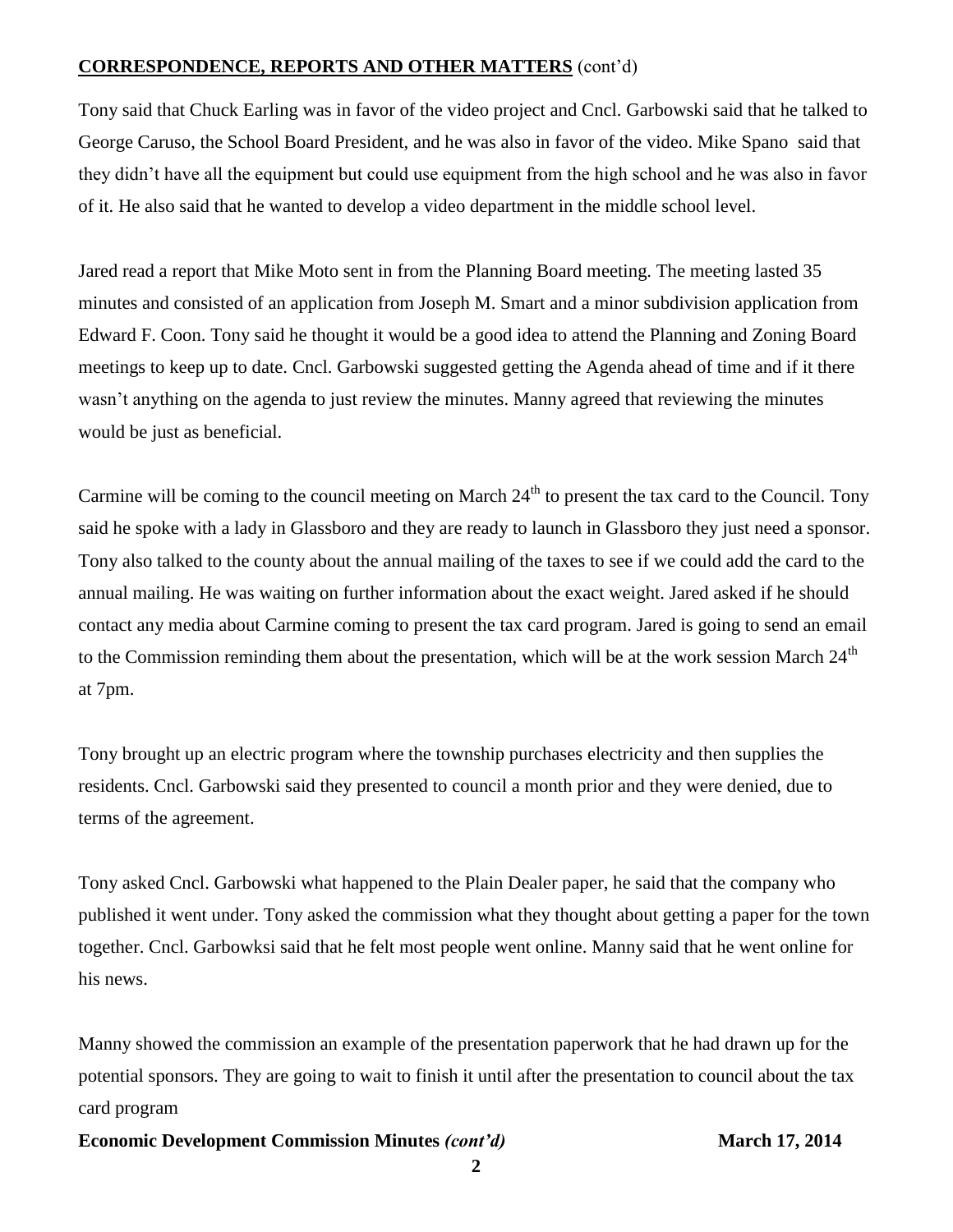## **CORRESPONDENCE, REPORTS AND OTHER MATTERS** (cont'd)

Tony said that Chuck Earling was in favor of the video project and Cncl. Garbowski said that he talked to George Caruso, the School Board President, and he was also in favor of the video. Mike Spano said that they didn't have all the equipment but could use equipment from the high school and he was also in favor of it. He also said that he wanted to develop a video department in the middle school level.

Jared read a report that Mike Moto sent in from the Planning Board meeting. The meeting lasted 35 minutes and consisted of an application from Joseph M. Smart and a minor subdivision application from Edward F. Coon. Tony said he thought it would be a good idea to attend the Planning and Zoning Board meetings to keep up to date. Cncl. Garbowski suggested getting the Agenda ahead of time and if it there wasn't anything on the agenda to just review the minutes. Manny agreed that reviewing the minutes would be just as beneficial.

Carmine will be coming to the council meeting on March  $24<sup>th</sup>$  to present the tax card to the Council. Tony said he spoke with a lady in Glassboro and they are ready to launch in Glassboro they just need a sponsor. Tony also talked to the county about the annual mailing of the taxes to see if we could add the card to the annual mailing. He was waiting on further information about the exact weight. Jared asked if he should contact any media about Carmine coming to present the tax card program. Jared is going to send an email to the Commission reminding them about the presentation, which will be at the work session March  $24<sup>th</sup>$ at 7pm.

Tony brought up an electric program where the township purchases electricity and then supplies the residents. Cncl. Garbowski said they presented to council a month prior and they were denied, due to terms of the agreement.

Tony asked Cncl. Garbowski what happened to the Plain Dealer paper, he said that the company who published it went under. Tony asked the commission what they thought about getting a paper for the town together. Cncl. Garbowksi said that he felt most people went online. Manny said that he went online for his news.

Manny showed the commission an example of the presentation paperwork that he had drawn up for the potential sponsors. They are going to wait to finish it until after the presentation to council about the tax card program

#### **Economic Development Commission Minutes** *(cont'd)* **March 17, 2014**